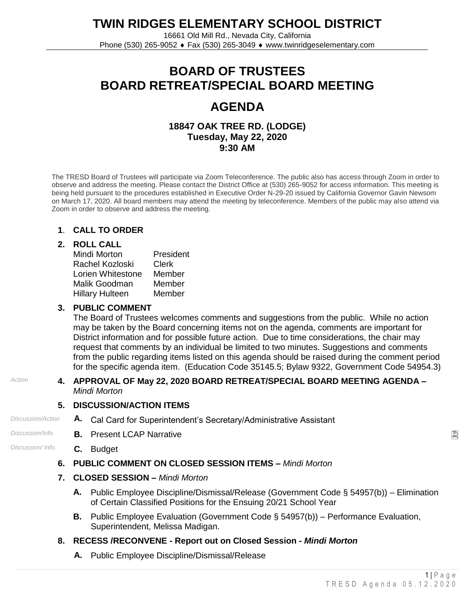**TWIN RIDGES ELEMENTARY SCHOOL DISTRICT**

16661 Old Mill Rd., Nevada City, California Phone (530) 265-9052 Fax (530) 265-3049 www.twinridgeselementary.com

# **BOARD OF TRUSTEES BOARD RETREAT/SPECIAL BOARD MEETING**

# **AGENDA**

## **18847 OAK TREE RD. (LODGE) Tuesday, May 22, 2020 9:30 AM**

The TRESD Board of Trustees will participate via Zoom Teleconference. The public also has access through Zoom in order to observe and address the meeting. Please contact the District Office at (530) 265-9052 for access information. This meeting is being held pursuant to the procedures established in Executive Order N-29-20 issued by California Governor Gavin Newsom on March 17, 2020. All board members may attend the meeting by teleconference. Members of the public may also attend via Zoom in order to observe and address the meeting.

### **1**. **CALL TO ORDER**

#### **2. ROLL CALL**

| Mindi Morton           | President |
|------------------------|-----------|
| Rachel Kozloski        | Clerk     |
| Lorien Whitestone      | Member    |
| Malik Goodman          | Member    |
| <b>Hillary Hulteen</b> | Member    |
|                        |           |

#### **3. PUBLIC COMMENT**

The Board of Trustees welcomes comments and suggestions from the public. While no action may be taken by the Board concerning items not on the agenda, comments are important for District information and for possible future action. Due to time considerations, the chair may request that comments by an individual be limited to two minutes. Suggestions and comments from the public regarding items listed on this agenda should be raised during the comment period for the specific agenda item. (Education Code 35145.5; Bylaw 9322, Government Code 54954.3)

#### *Action* **4. APPROVAL OF May 22, 2020 BOARD RETREAT/SPECIAL BOARD MEETING AGENDA –** *Mindi Morton*

#### **5. DISCUSSION/ACTION ITEMS**

# *Discussion/Action* **A.** Cal Card for Superintendent's Secretary/Administrative Assistant

- *Discussion/Info.* **B.** Present LCAP Narrative
- *Discussion/ Info.* **C.** Budget
	- **6. PUBLIC COMMENT ON CLOSED SESSION ITEMS –** *Mindi Morton*

#### **7. CLOSED SESSION –** *Mindi Morton*

- **A.** Public Employee Discipline/Dismissal/Release (Government Code § 54957(b)) Elimination of Certain Classified Positions for the Ensuing 20/21 School Year
- **B.** Public Employee Evaluation (Government Code § 54957(b)) Performance Evaluation, Superintendent, Melissa Madigan.

#### **8. RECESS /RECONVENE** *-* **Report out on Closed Session -** *Mindi Morton*

**A.** Public Employee Discipline/Dismissal/Release